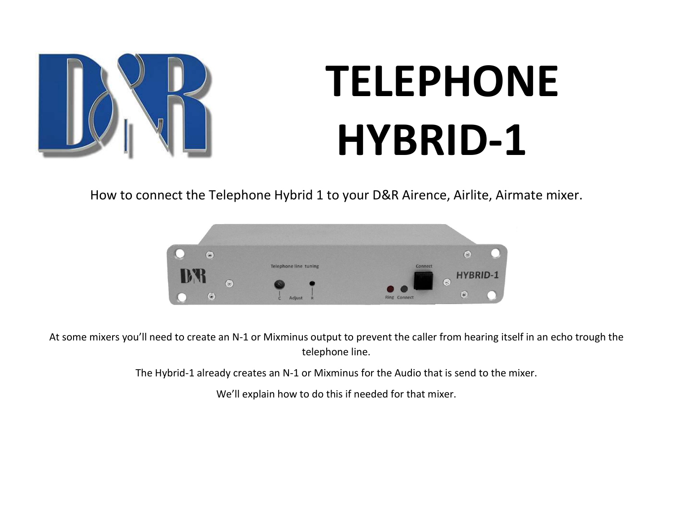

## TELEPHONE HYBRID-1

How to connect the Telephone Hybrid 1 to your D&R Airence, Airlite, Airmate mixer.



At some mixers you'll need to create an N-1 or Mixminus output to prevent the caller from hearing itself in an echo trough the telephone line.

The Hybrid-1 already creates an N-1 or Mixminus for the Audio that is send to the mixer.

We'll explain how to do this if needed for that mixer.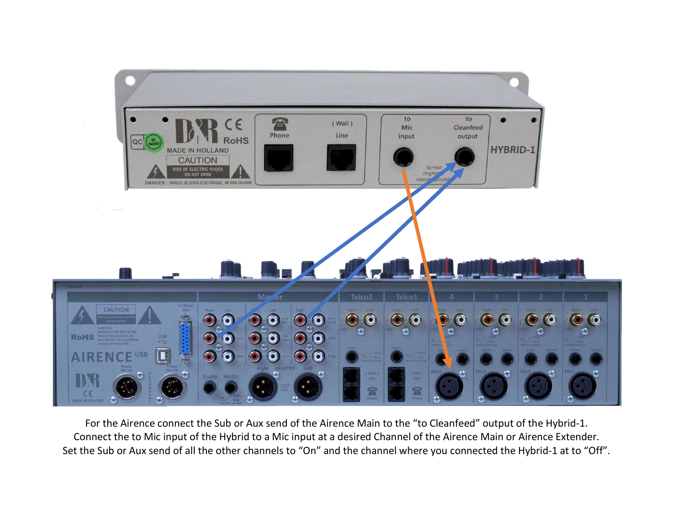

For the Airence connect the Sub or Aux send of the Airence Main to the "to Cleanfeed" output of the Hybrid-1. Connect the to Mic input of the Hybrid to a Mic input at a desired Channel of the Airence Main or Airence Extender. Set the Sub or Aux send of all the other channels to "On" and the channel where you connected the Hybrid-1 at to "Off".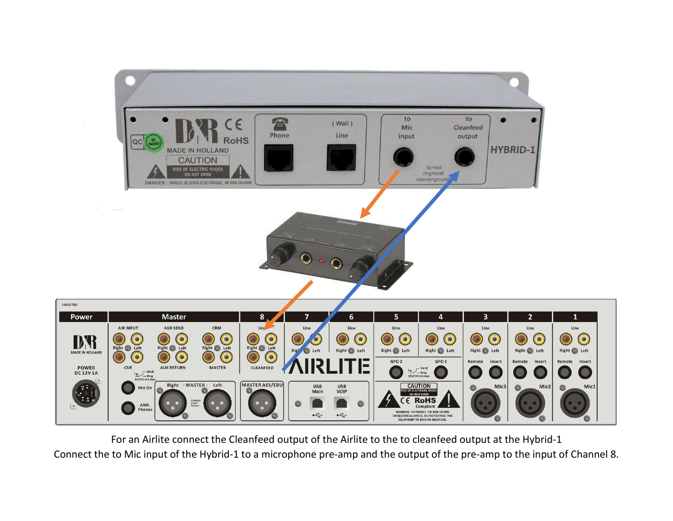

For an Airlite connect the Cleanfeed output of the Airlite to the to cleanfeed output at the Hybrid-1

Connect the to Mic input of the Hybrid-1 to a microphone pre-amp and the output of the pre-amp to the input of Channel 8.